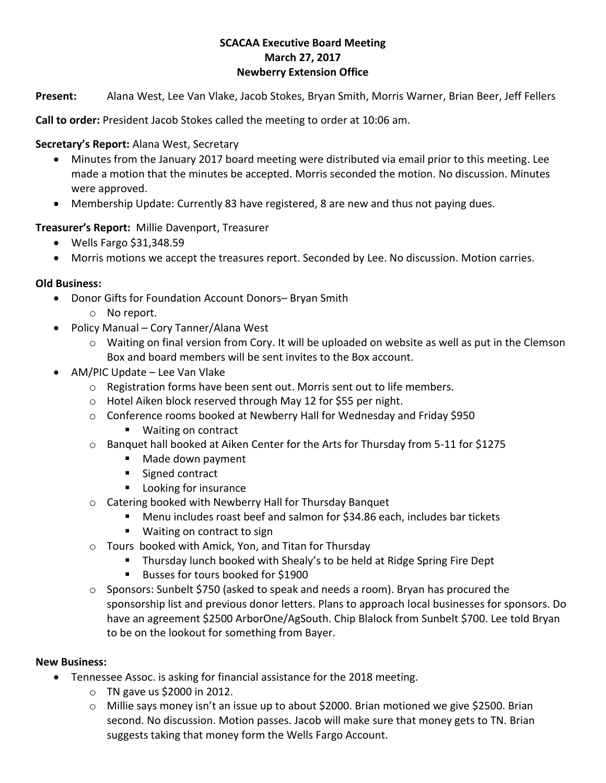## **SCACAA Executive Board Meeting March 27, 2017 Newberry Extension Office**

**Present:** Alana West, Lee Van Vlake, Jacob Stokes, Bryan Smith, Morris Warner, Brian Beer, Jeff Fellers

**Call to order:** President Jacob Stokes called the meeting to order at 10:06 am.

**Secretary's Report:** Alana West, Secretary

- Minutes from the January 2017 board meeting were distributed via email prior to this meeting. Lee made a motion that the minutes be accepted. Morris seconded the motion. No discussion. Minutes were approved.
- Membership Update: Currently 83 have registered, 8 are new and thus not paying dues.

**Treasurer's Report:** Millie Davenport, Treasurer

- $\bullet$  Wells Fargo \$31,348.59
- Morris motions we accept the treasures report. Seconded by Lee. No discussion. Motion carries.

## **Old Business:**

- Donor Gifts for Foundation Account Donors– Bryan Smith
	- o No report.
- Policy Manual Cory Tanner/Alana West
	- o Waiting on final version from Cory. It will be uploaded on website as well as put in the Clemson Box and board members will be sent invites to the Box account.
- AM/PIC Update Lee Van Vlake
	- o Registration forms have been sent out. Morris sent out to life members.
	- o Hotel Aiken block reserved through May 12 for \$55 per night.
	- $\circ$  Conference rooms booked at Newberry Hall for Wednesday and Friday \$950
		- Waiting on contract
	- o Banquet hall booked at Aiken Center for the Arts for Thursday from 5-11 for \$1275
		- Made down payment
		- Signed contract
		- **Looking for insurance**
	- o Catering booked with Newberry Hall for Thursday Banquet
		- Menu includes roast beef and salmon for \$34.86 each, includes bar tickets
		- Waiting on contract to sign
	- o Tours booked with Amick, Yon, and Titan for Thursday
		- **Thursday lunch booked with Shealy's to be held at Ridge Spring Fire Dept**
		- Busses for tours booked for \$1900
	- $\circ$  Sponsors: Sunbelt \$750 (asked to speak and needs a room). Bryan has procured the sponsorship list and previous donor letters. Plans to approach local businesses for sponsors. Do have an agreement \$2500 ArborOne/AgSouth. Chip Blalock from Sunbelt \$700. Lee told Bryan to be on the lookout for something from Bayer.

## **New Business:**

- Tennessee Assoc. is asking for financial assistance for the 2018 meeting.
	- $\circ$  TN gave us \$2000 in 2012.
	- o Millie says money isn't an issue up to about \$2000. Brian motioned we give \$2500. Brian second. No discussion. Motion passes. Jacob will make sure that money gets to TN. Brian suggests taking that money form the Wells Fargo Account.